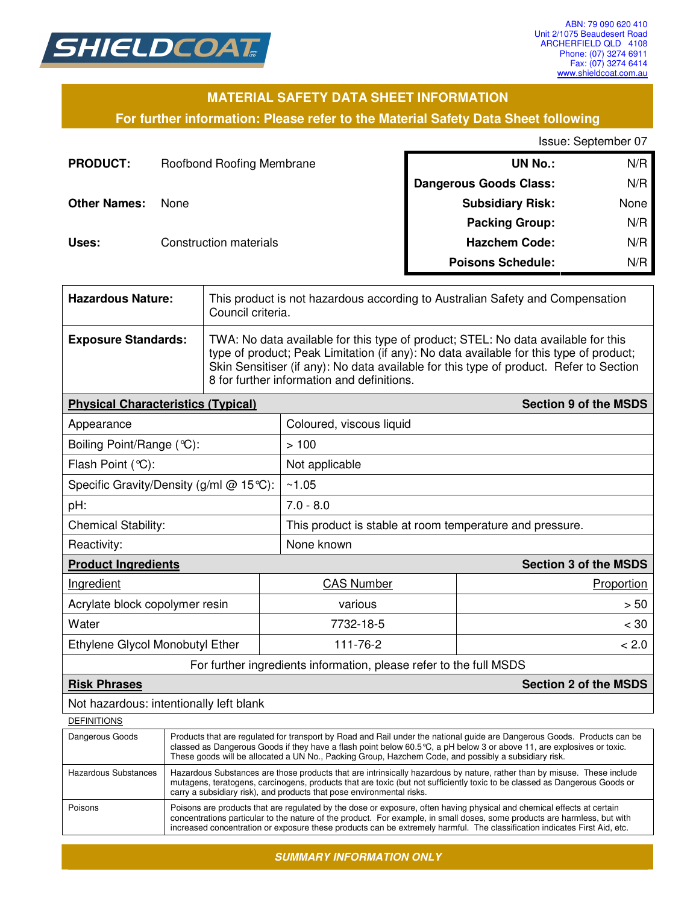

### **MATERIAL SAFETY DATA SHEET INFORMATION**

#### **For further information: Please refer to the Material Safety Data Sheet following**

#### Issue: September 07

| <b>PRODUCT:</b>     | Roofbond Roofing Membrane | <b>UN No.:</b>                | N/R  |
|---------------------|---------------------------|-------------------------------|------|
|                     |                           | <b>Dangerous Goods Class:</b> | N/R  |
| <b>Other Names:</b> | None                      | <b>Subsidiary Risk:</b>       | None |
|                     |                           | <b>Packing Group:</b>         | N/R  |
| Uses:               | Construction materials    | <b>Hazchem Code:</b>          | N/R  |
|                     |                           | <b>Poisons Schedule:</b>      | N/R  |

| <b>Hazardous Nature:</b>                                                  |                                                                                                                                                                                                                                                                                                                                                             | This product is not hazardous according to Australian Safety and Compensation<br>Council criteria.                                                                                                                                                                                                                  |                                                                    |                              |  |
|---------------------------------------------------------------------------|-------------------------------------------------------------------------------------------------------------------------------------------------------------------------------------------------------------------------------------------------------------------------------------------------------------------------------------------------------------|---------------------------------------------------------------------------------------------------------------------------------------------------------------------------------------------------------------------------------------------------------------------------------------------------------------------|--------------------------------------------------------------------|------------------------------|--|
| <b>Exposure Standards:</b>                                                |                                                                                                                                                                                                                                                                                                                                                             | TWA: No data available for this type of product; STEL: No data available for this<br>type of product; Peak Limitation (if any): No data available for this type of product;<br>Skin Sensitiser (if any): No data available for this type of product. Refer to Section<br>8 for further information and definitions. |                                                                    |                              |  |
| <b>Section 9 of the MSDS</b><br><b>Physical Characteristics (Typical)</b> |                                                                                                                                                                                                                                                                                                                                                             |                                                                                                                                                                                                                                                                                                                     |                                                                    |                              |  |
| Appearance                                                                |                                                                                                                                                                                                                                                                                                                                                             |                                                                                                                                                                                                                                                                                                                     | Coloured, viscous liquid                                           |                              |  |
| Boiling Point/Range (°C):                                                 |                                                                                                                                                                                                                                                                                                                                                             |                                                                                                                                                                                                                                                                                                                     | >100                                                               |                              |  |
| Flash Point (°C):                                                         |                                                                                                                                                                                                                                                                                                                                                             |                                                                                                                                                                                                                                                                                                                     | Not applicable                                                     |                              |  |
| Specific Gravity/Density (g/ml @ 15℃):                                    |                                                                                                                                                                                                                                                                                                                                                             |                                                                                                                                                                                                                                                                                                                     | ~1.05                                                              |                              |  |
| pH:                                                                       |                                                                                                                                                                                                                                                                                                                                                             |                                                                                                                                                                                                                                                                                                                     | $7.0 - 8.0$                                                        |                              |  |
| <b>Chemical Stability:</b>                                                |                                                                                                                                                                                                                                                                                                                                                             |                                                                                                                                                                                                                                                                                                                     | This product is stable at room temperature and pressure.           |                              |  |
| Reactivity:                                                               |                                                                                                                                                                                                                                                                                                                                                             |                                                                                                                                                                                                                                                                                                                     | None known                                                         |                              |  |
| <b>Product Ingredients</b>                                                |                                                                                                                                                                                                                                                                                                                                                             |                                                                                                                                                                                                                                                                                                                     | <b>Section 3 of the MSDS</b>                                       |                              |  |
| Ingredient                                                                |                                                                                                                                                                                                                                                                                                                                                             | <b>CAS Number</b><br>Proportion                                                                                                                                                                                                                                                                                     |                                                                    |                              |  |
| Acrylate block copolymer resin                                            |                                                                                                                                                                                                                                                                                                                                                             | various                                                                                                                                                                                                                                                                                                             | > 50                                                               |                              |  |
| Water                                                                     |                                                                                                                                                                                                                                                                                                                                                             | 7732-18-5                                                                                                                                                                                                                                                                                                           | < 30                                                               |                              |  |
| Ethylene Glycol Monobutyl Ether                                           |                                                                                                                                                                                                                                                                                                                                                             |                                                                                                                                                                                                                                                                                                                     | 111-76-2                                                           | < 2.0                        |  |
|                                                                           |                                                                                                                                                                                                                                                                                                                                                             |                                                                                                                                                                                                                                                                                                                     | For further ingredients information, please refer to the full MSDS |                              |  |
| <b>Risk Phrases</b>                                                       |                                                                                                                                                                                                                                                                                                                                                             |                                                                                                                                                                                                                                                                                                                     |                                                                    | <b>Section 2 of the MSDS</b> |  |
| Not hazardous: intentionally left blank                                   |                                                                                                                                                                                                                                                                                                                                                             |                                                                                                                                                                                                                                                                                                                     |                                                                    |                              |  |
| <b>DEFINITIONS</b>                                                        |                                                                                                                                                                                                                                                                                                                                                             |                                                                                                                                                                                                                                                                                                                     |                                                                    |                              |  |
| Dangerous Goods                                                           | Products that are regulated for transport by Road and Rail under the national guide are Dangerous Goods. Products can be<br>classed as Dangerous Goods if they have a flash point below 60.5 °C, a pH below 3 or above 11, are explosives or toxic.<br>These goods will be allocated a UN No., Packing Group, Hazchem Code, and possibly a subsidiary risk. |                                                                                                                                                                                                                                                                                                                     |                                                                    |                              |  |
| <b>Hazardous Substances</b>                                               | Hazardous Substances are those products that are intrinsically hazardous by nature, rather than by misuse. These include<br>mutagens, teratogens, carcinogens, products that are toxic (but not sufficiently toxic to be classed as Dangerous Goods or<br>carry a subsidiary risk), and products that pose environmental risks.                             |                                                                                                                                                                                                                                                                                                                     |                                                                    |                              |  |
| Poisons                                                                   | Poisons are products that are regulated by the dose or exposure, often having physical and chemical effects at certain<br>concentrations particular to the nature of the product. For example, in small doses, some products are harmless, but with                                                                                                         |                                                                                                                                                                                                                                                                                                                     |                                                                    |                              |  |

*SUMMARY INFORMATION ONLY* 

increased concentration or exposure these products can be extremely harmful. The classification indicates First Aid, etc.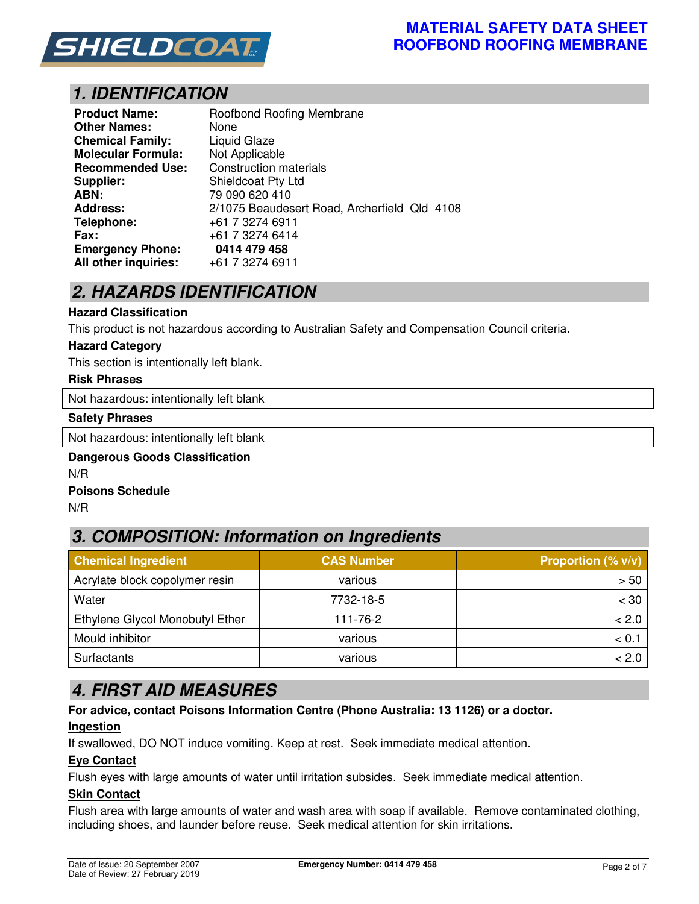

# *1. IDENTIFICATION*

| <b>Product Name:</b>      | Roofbond Roofing Membrane                    |
|---------------------------|----------------------------------------------|
| <b>Other Names:</b>       | None                                         |
| <b>Chemical Family:</b>   | Liquid Glaze                                 |
| <b>Molecular Formula:</b> | Not Applicable                               |
| <b>Recommended Use:</b>   | <b>Construction materials</b>                |
| <b>Supplier:</b>          | Shieldcoat Pty Ltd                           |
| ABN:                      | 79 090 620 410                               |
| <b>Address:</b>           | 2/1075 Beaudesert Road, Archerfield Qld 4108 |
| Telephone:                | +61 7 3274 6911                              |
| Fax:                      | +61 7 3274 6414                              |
| <b>Emergency Phone:</b>   | 0414 479 458                                 |
| All other inquiries:      | +61 7 3274 6911                              |

# *2. HAZARDS IDENTIFICATION*

#### **Hazard Classification**

This product is not hazardous according to Australian Safety and Compensation Council criteria.

#### **Hazard Category**

This section is intentionally left blank.

#### **Risk Phrases**

Not hazardous: intentionally left blank

#### **Safety Phrases**

Not hazardous: intentionally left blank

#### **Dangerous Goods Classification**  N/R **Poisons Schedule**

N/R

# *3. COMPOSITION: Information on Ingredients*

| <b>Chemical Ingredient</b>      | <b>CAS Number</b> | Proportion $(\% v/v)$ |
|---------------------------------|-------------------|-----------------------|
| Acrylate block copolymer resin  | various           | > 50                  |
| Water                           | 7732-18-5         | $<$ 30                |
| Ethylene Glycol Monobutyl Ether | 111-76-2          | < 2.0                 |
| Mould inhibitor                 | various           | < 0.1                 |
| Surfactants                     | various           | < 2.0                 |

## *4. FIRST AID MEASURES*

**For advice, contact Poisons Information Centre (Phone Australia: 13 1126) or a doctor.** 

#### **Ingestion**

If swallowed, DO NOT induce vomiting. Keep at rest. Seek immediate medical attention.

#### **Eye Contact**

Flush eyes with large amounts of water until irritation subsides. Seek immediate medical attention.

#### **Skin Contact**

Flush area with large amounts of water and wash area with soap if available. Remove contaminated clothing, including shoes, and launder before reuse. Seek medical attention for skin irritations.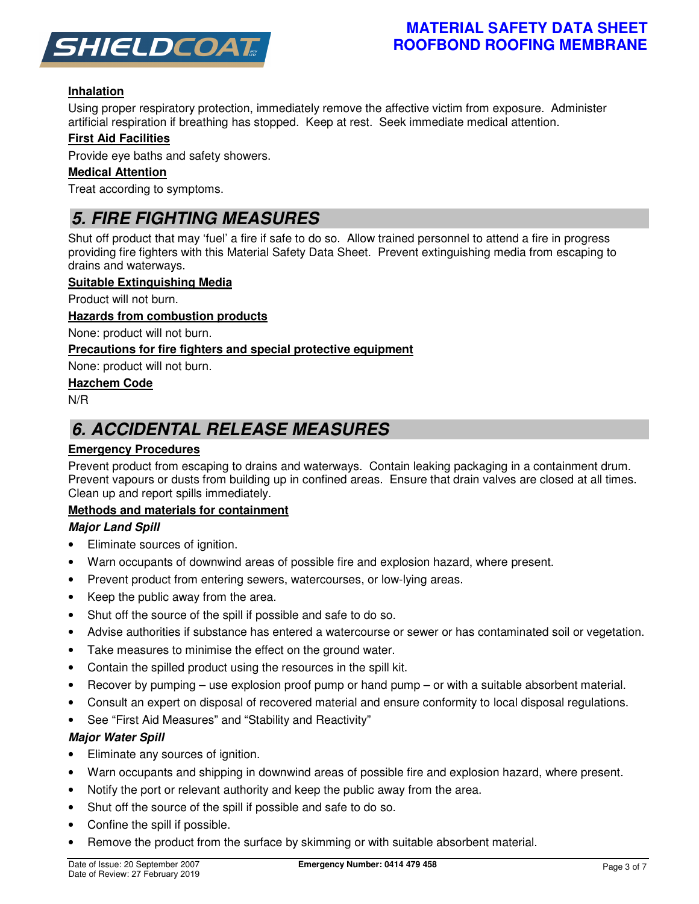

### **MATERIAL SAFETY DATA SHEET ROOFBOND ROOFING MEMBRANE**

### **Inhalation**

Using proper respiratory protection, immediately remove the affective victim from exposure. Administer artificial respiration if breathing has stopped. Keep at rest. Seek immediate medical attention.

#### **First Aid Facilities**

Provide eye baths and safety showers.

#### **Medical Attention**

Treat according to symptoms.

## *5. FIRE FIGHTING MEASURES*

Shut off product that may 'fuel' a fire if safe to do so. Allow trained personnel to attend a fire in progress providing fire fighters with this Material Safety Data Sheet. Prevent extinguishing media from escaping to drains and waterways.

#### **Suitable Extinguishing Media**

Product will not burn.

#### **Hazards from combustion products**

None: product will not burn.

#### **Precautions for fire fighters and special protective equipment**

None: product will not burn.

#### **Hazchem Code**

N/R

## *6. ACCIDENTAL RELEASE MEASURES*

#### **Emergency Procedures**

Prevent product from escaping to drains and waterways. Contain leaking packaging in a containment drum. Prevent vapours or dusts from building up in confined areas. Ensure that drain valves are closed at all times. Clean up and report spills immediately.

#### **Methods and materials for containment**

#### *Major Land Spill*

- Eliminate sources of ignition.
- Warn occupants of downwind areas of possible fire and explosion hazard, where present.
- Prevent product from entering sewers, watercourses, or low-lying areas.
- Keep the public away from the area.
- Shut off the source of the spill if possible and safe to do so.
- Advise authorities if substance has entered a watercourse or sewer or has contaminated soil or vegetation.
- Take measures to minimise the effect on the ground water.
- Contain the spilled product using the resources in the spill kit.
- Recover by pumping use explosion proof pump or hand pump or with a suitable absorbent material.
- Consult an expert on disposal of recovered material and ensure conformity to local disposal regulations.
- See "First Aid Measures" and "Stability and Reactivity"

#### *Major Water Spill*

- Eliminate any sources of ignition.
- Warn occupants and shipping in downwind areas of possible fire and explosion hazard, where present.
- Notify the port or relevant authority and keep the public away from the area.
- Shut off the source of the spill if possible and safe to do so.
- Confine the spill if possible.
- Remove the product from the surface by skimming or with suitable absorbent material.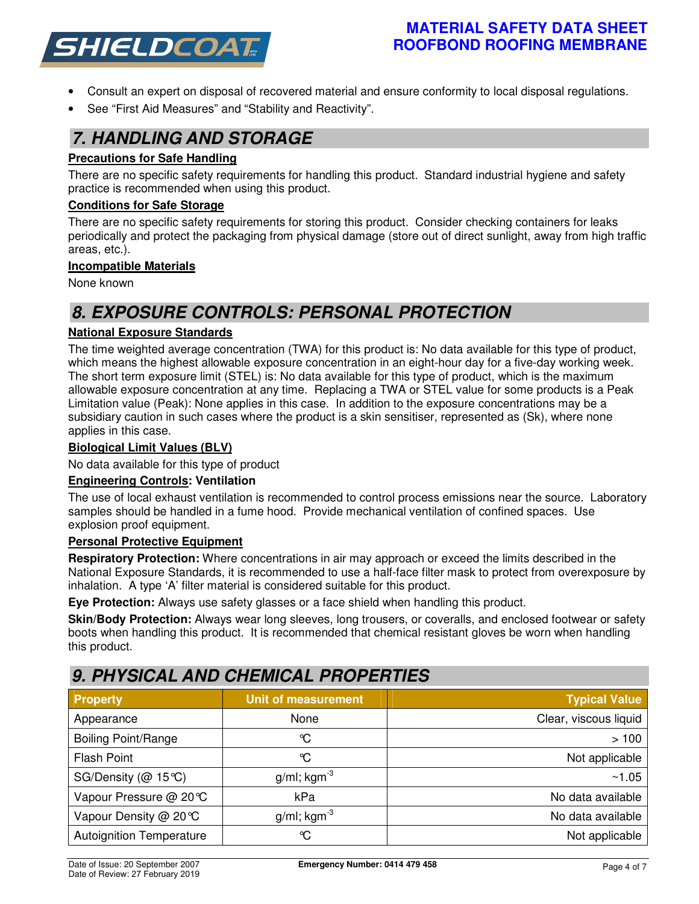

### **MATERIAL SAFETY DATA SHEET ROOFBOND ROOFING MEMBRANE**

- Consult an expert on disposal of recovered material and ensure conformity to local disposal regulations.
- See "First Aid Measures" and "Stability and Reactivity".

## *7. HANDLING AND STORAGE*

#### **Precautions for Safe Handling**

There are no specific safety requirements for handling this product. Standard industrial hygiene and safety practice is recommended when using this product.

#### **Conditions for Safe Storage**

There are no specific safety requirements for storing this product. Consider checking containers for leaks periodically and protect the packaging from physical damage (store out of direct sunlight, away from high traffic areas, etc.).

#### **Incompatible Materials**

None known

# *8. EXPOSURE CONTROLS: PERSONAL PROTECTION*

#### **National Exposure Standards**

The time weighted average concentration (TWA) for this product is: No data available for this type of product, which means the highest allowable exposure concentration in an eight-hour day for a five-day working week. The short term exposure limit (STEL) is: No data available for this type of product, which is the maximum allowable exposure concentration at any time. Replacing a TWA or STEL value for some products is a Peak Limitation value (Peak): None applies in this case. In addition to the exposure concentrations may be a subsidiary caution in such cases where the product is a skin sensitiser, represented as (Sk), where none applies in this case.

#### **Biological Limit Values (BLV)**

No data available for this type of product

#### **Engineering Controls: Ventilation**

The use of local exhaust ventilation is recommended to control process emissions near the source. Laboratory samples should be handled in a fume hood. Provide mechanical ventilation of confined spaces. Use explosion proof equipment.

#### **Personal Protective Equipment**

**Respiratory Protection:** Where concentrations in air may approach or exceed the limits described in the National Exposure Standards, it is recommended to use a half-face filter mask to protect from overexposure by inhalation. A type 'A' filter material is considered suitable for this product.

**Eye Protection:** Always use safety glasses or a face shield when handling this product.

**Skin/Body Protection:** Always wear long sleeves, long trousers, or coveralls, and enclosed footwear or safety boots when handling this product. It is recommended that chemical resistant gloves be worn when handling this product.

## *9. PHYSICAL AND CHEMICAL PROPERTIES*

| <b>Property</b>                 | <b>Unit of measurement</b> | <b>Typical Value</b>  |
|---------------------------------|----------------------------|-----------------------|
| Appearance                      | None                       | Clear, viscous liquid |
| <b>Boiling Point/Range</b>      | ℃                          | >100                  |
| <b>Flash Point</b>              | ℃                          | Not applicable        |
| SG/Density ( $@$ 15°C)          | $g/ml$ ; kgm <sup>-3</sup> | ~1.05                 |
| Vapour Pressure @ 20℃           | kPa                        | No data available     |
| Vapour Density @ 20℃            | $g/ml$ ; kgm <sup>-3</sup> | No data available     |
| <b>Autoignition Temperature</b> | $\mathrm{C}$               | Not applicable        |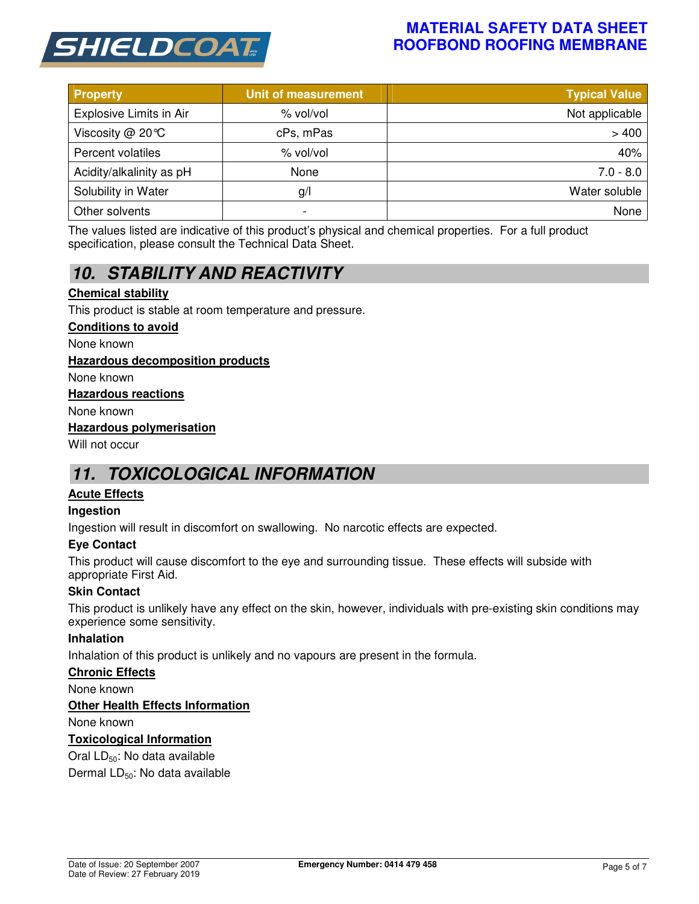

### **MATERIAL SAFETY DATA SHEET ROOFBOND ROOFING MEMBRANE**

| <b>Property</b>          | <b>Unit of measurement</b> | <b>Typical Value</b> |
|--------------------------|----------------------------|----------------------|
| Explosive Limits in Air  | % vol/vol                  | Not applicable       |
| Viscosity $@$ 20 °C      | cPs, mPas                  | >400                 |
| Percent volatiles        | % vol/vol                  | 40%                  |
| Acidity/alkalinity as pH | None                       | $7.0 - 8.0$          |
| Solubility in Water      | g/                         | Water soluble        |
| Other solvents           | -                          | None                 |

The values listed are indicative of this product's physical and chemical properties. For a full product specification, please consult the Technical Data Sheet.

# *10. STABILITY AND REACTIVITY*

#### **Chemical stability**

This product is stable at room temperature and pressure.

#### **Conditions to avoid**

None known

#### **Hazardous decomposition products**

None known

#### **Hazardous reactions**

None known

#### **Hazardous polymerisation**

Will not occur

## *11. TOXICOLOGICAL INFORMATION*

#### **Acute Effects**

#### **Ingestion**

Ingestion will result in discomfort on swallowing. No narcotic effects are expected.

#### **Eye Contact**

This product will cause discomfort to the eye and surrounding tissue. These effects will subside with appropriate First Aid.

#### **Skin Contact**

This product is unlikely have any effect on the skin, however, individuals with pre-existing skin conditions may experience some sensitivity.

#### **Inhalation**

Inhalation of this product is unlikely and no vapours are present in the formula.

#### **Chronic Effects**

None known

#### **Other Health Effects Information**

None known

#### **Toxicological Information**

Oral LD<sub>50</sub>: No data available

Dermal LD<sub>50</sub>: No data available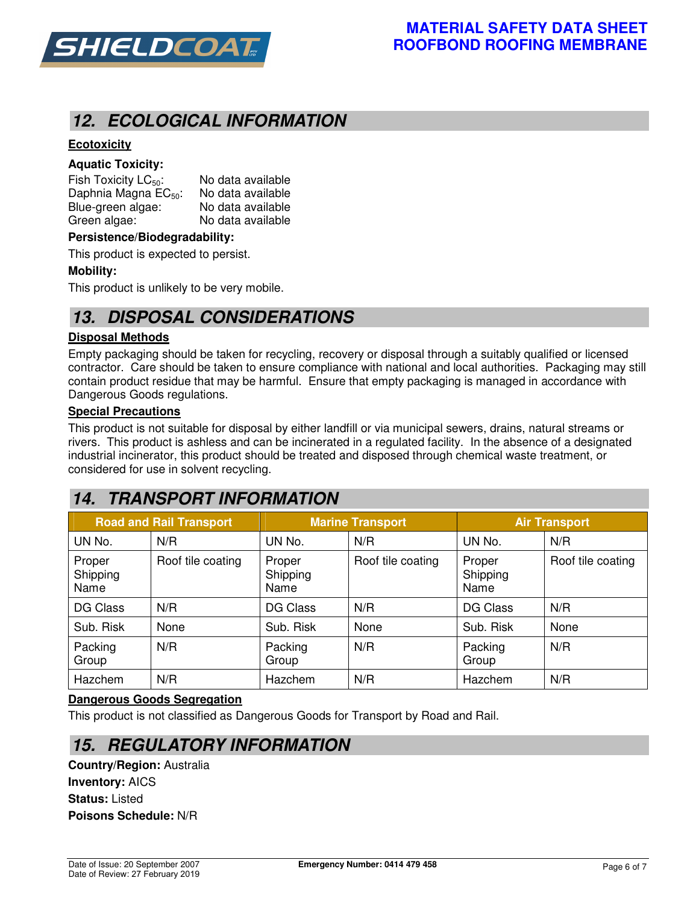

## *12. ECOLOGICAL INFORMATION*

### **Ecotoxicity**

#### **Aquatic Toxicity:**

Fish Toxicity  $LC_{50}$ : No data available Daphnia Magna  $EC_{50}$ : No data available<br>Blue-green algae: No data available Blue-green algae: Green algae: No data available

#### **Persistence/Biodegradability:**

This product is expected to persist.

#### **Mobility:**

This product is unlikely to be very mobile.

## *13. DISPOSAL CONSIDERATIONS*

#### **Disposal Methods**

Empty packaging should be taken for recycling, recovery or disposal through a suitably qualified or licensed contractor. Care should be taken to ensure compliance with national and local authorities. Packaging may still contain product residue that may be harmful. Ensure that empty packaging is managed in accordance with Dangerous Goods regulations.

#### **Special Precautions**

This product is not suitable for disposal by either landfill or via municipal sewers, drains, natural streams or rivers. This product is ashless and can be incinerated in a regulated facility. In the absence of a designated industrial incinerator, this product should be treated and disposed through chemical waste treatment, or considered for use in solvent recycling.

# *14. TRANSPORT INFORMATION*

| <b>Road and Rail Transport</b> |                   |                            | <b>Marine Transport</b> | <b>Air Transport</b>       |                   |
|--------------------------------|-------------------|----------------------------|-------------------------|----------------------------|-------------------|
| UN No.                         | N/R               | UN No.                     | N/R                     | UN No.                     | N/R               |
| Proper<br>Shipping<br>Name     | Roof tile coating | Proper<br>Shipping<br>Name | Roof tile coating       | Proper<br>Shipping<br>Name | Roof tile coating |
| <b>DG Class</b>                | N/R               | <b>DG Class</b>            | N/R                     | <b>DG Class</b>            | N/R               |
| Sub. Risk                      | None              | Sub. Risk                  | None                    | Sub. Risk                  | None              |
| Packing<br>Group               | N/R               | Packing<br>Group           | N/R                     | Packing<br>Group           | N/R               |
| Hazchem                        | N/R               | Hazchem                    | N/R                     | Hazchem                    | N/R               |

#### **Dangerous Goods Segregation**

This product is not classified as Dangerous Goods for Transport by Road and Rail.

### *15. REGULATORY INFORMATION*

**Country/Region:** Australia **Inventory:** AICS **Status:** Listed **Poisons Schedule:** N/R